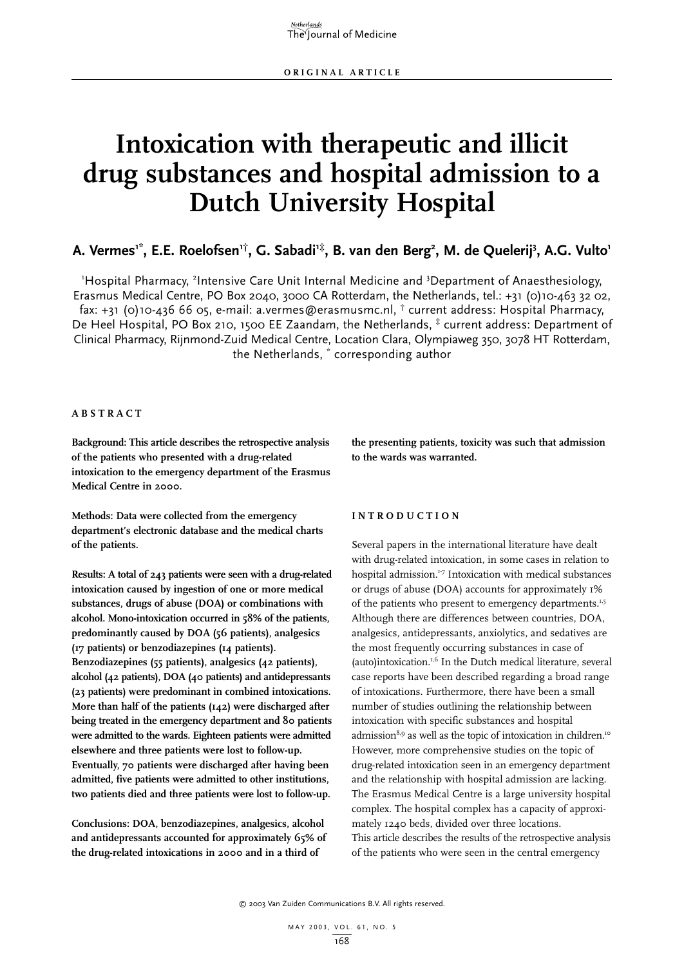# **Intoxication with therapeutic and illicit drug substances and hospital admission to a Dutch University Hospital**

### A. Vermes<sup>1\*</sup>, E.E. Roelofsen<sup>1†</sup>, G. Sabadi<sup>1‡</sup>, B. van den Berg<sup>2</sup>, M. de Quelerij<sup>3</sup>, A.G. Vulto<sup>1</sup>

'Hospital Pharmacy, <sup>2</sup>Intensive Care Unit Internal Medicine and <sup>3</sup>Department of Anaesthesiology, Erasmus Medical Centre, PO Box 2040, 3000 CA Rotterdam, the Netherlands, tel.: +31 (0)10-463 32 02, fax: +31 (0)10-436 66 05, e-mail: a.vermes@erasmusmc.nl,  $\dagger$  current address: Hospital Pharmacy, De Heel Hospital, PO Box 210, 1500 EE Zaandam, the Netherlands,  $*$  current address: Department of Clinical Pharmacy, Rijnmond-Zuid Medical Centre, Location Clara, Olympiaweg 350, 3078 HT Rotterdam, the Netherlands, \* corresponding author

#### **ABSTRACT**

**Background: This article describes the retrospective analysis of the patients who presented with a drug-related intoxication to the emergency department of the Erasmus Medical Centre in 2000.**

**Methods: Data were collected from the emergency department's electronic database and the medical charts of the patients.**

**Results: A total of 243 patients were seen with a drug-related intoxication caused by ingestion of one or more medical substances, drugs of abuse (DOA) or combinations with alcohol. Mono-intoxication occurred in 58% of the patients, predominantly caused by DOA (56 patients), analgesics (17 patients) or benzodiazepines (14 patients). Benzodiazepines (55 patients), analgesics (42 patients), alcohol (42 patients), DOA (40 patients) and antidepressants (23 patients) were predominant in combined intoxications. More than half of the patients (142) were discharged after being treated in the emergency department and 80 patients were admitted to the wards. Eighteen patients were admitted elsewhere and three patients were lost to follow-up. Eventually, 70 patients were discharged after having been admitted, five patients were admitted to other institutions, two patients died and three patients were lost to follow-up.**

**Conclusions: DOA, benzodiazepines, analgesics, alcohol and antidepressants accounted for approximately 65% of the drug-related intoxications in 2000 and in a third of**

**the presenting patients, toxicity was such that admission to the wards was warranted.**

#### **INTRODUCTION**

Several papers in the international literature have dealt with drug-related intoxication, in some cases in relation to hospital admission.<sup>1-7</sup> Intoxication with medical substances or drugs of abuse (DOA) accounts for approximately 1% of the patients who present to emergency departments.<sup>1,5</sup> Although there are differences between countries, DOA, analgesics, antidepressants, anxiolytics, and sedatives are the most frequently occurring substances in case of (auto)intoxication.1,6 In the Dutch medical literature, several case reports have been described regarding a broad range of intoxications. Furthermore, there have been a small number of studies outlining the relationship between intoxication with specific substances and hospital admission<sup>8,9</sup> as well as the topic of intoxication in children.<sup>10</sup> However, more comprehensive studies on the topic of drug-related intoxication seen in an emergency department and the relationship with hospital admission are lacking. The Erasmus Medical Centre is a large university hospital complex. The hospital complex has a capacity of approximately 1240 beds, divided over three locations. This article describes the results of the retrospective analysis of the patients who were seen in the central emergency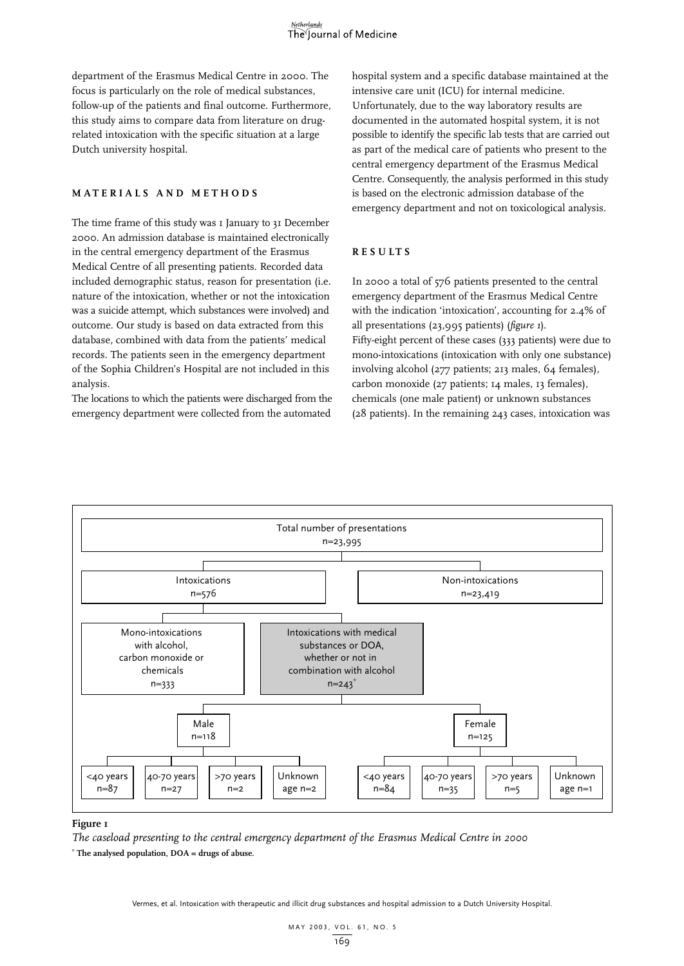department of the Erasmus Medical Centre in 2000. The focus is particularly on the role of medical substances, follow-up of the patients and final outcome. Furthermore, this study aims to compare data from literature on drugrelated intoxication with the specific situation at a large Dutch university hospital.

#### **MATERIALS AND METHODS**

The time frame of this study was I January to 31 December 2000. An admission database is maintained electronically in the central emergency department of the Erasmus Medical Centre of all presenting patients. Recorded data included demographic status, reason for presentation (i.e. nature of the intoxication, whether or not the intoxication was a suicide attempt, which substances were involved) and outcome. Our study is based on data extracted from this database, combined with data from the patients' medical records. The patients seen in the emergency department of the Sophia Children's Hospital are not included in this analysis.

The locations to which the patients were discharged from the emergency department were collected from the automated

hospital system and a specific database maintained at the intensive care unit (ICU) for internal medicine. Unfortunately, due to the way laboratory results are documented in the automated hospital system, it is not possible to identify the specific lab tests that are carried out as part of the medical care of patients who present to the central emergency department of the Erasmus Medical Centre. Consequently, the analysis performed in this study is based on the electronic admission database of the emergency department and not on toxicological analysis.

#### **RESULTS**

In 2000 a total of 576 patients presented to the central emergency department of the Erasmus Medical Centre with the indication 'intoxication', accounting for 2.4% of all presentations (23,995 patients) (*figure 1*). Fifty-eight percent of these cases (333 patients) were due to mono-intoxications (intoxication with only one substance) involving alcohol (277 patients; 213 males, 64 females), carbon monoxide (27 patients; 14 males, 13 females), chemicals (one male patient) or unknown substances (28 patients). In the remaining 243 cases, intoxication was



#### **Figure 1**

*The caseload presenting to the central emergency department of the Erasmus Medical Centre in 2000*

**\* The analysed population, DOA = drugs of abuse.**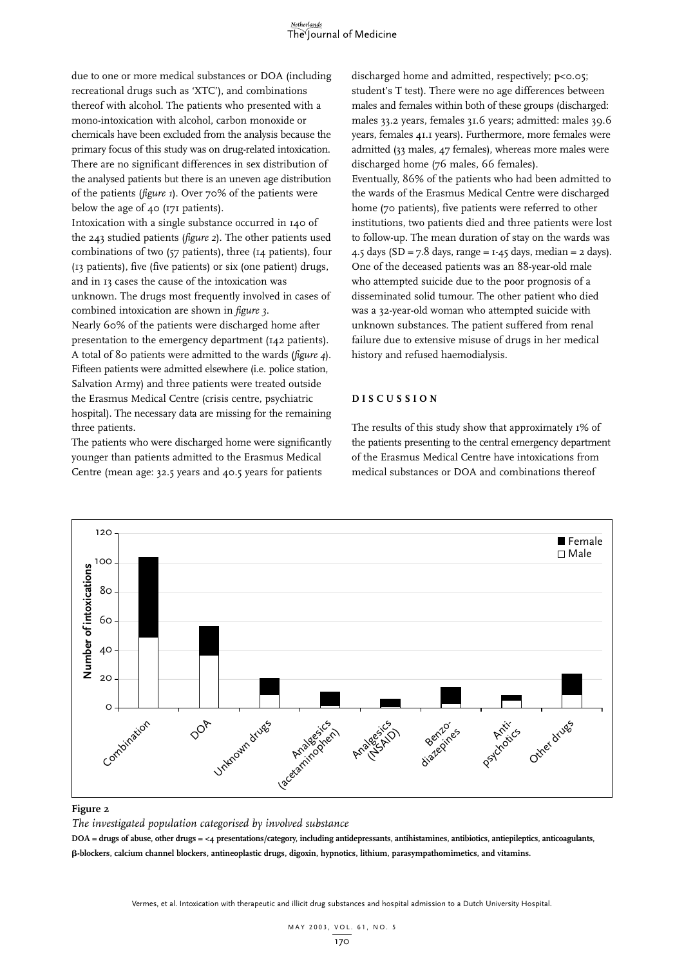due to one or more medical substances or DOA (including recreational drugs such as 'XTC'), and combinations thereof with alcohol. The patients who presented with a mono-intoxication with alcohol, carbon monoxide or chemicals have been excluded from the analysis because the primary focus of this study was on drug-related intoxication. There are no significant differences in sex distribution of the analysed patients but there is an uneven age distribution of the patients (*figure 1*). Over 70% of the patients were below the age of 40 (171 patients).

Intoxication with a single substance occurred in 140 of the 243 studied patients (*figure 2*). The other patients used combinations of two (57 patients), three (14 patients), four (13 patients), five (five patients) or six (one patient) drugs, and in 13 cases the cause of the intoxication was unknown. The drugs most frequently involved in cases of

combined intoxication are shown in *figure 3*. Nearly 60% of the patients were discharged home after presentation to the emergency department (142 patients). A total of 80 patients were admitted to the wards (*figure 4*). Fifteen patients were admitted elsewhere (i.e. police station, Salvation Army) and three patients were treated outside the Erasmus Medical Centre (crisis centre, psychiatric hospital). The necessary data are missing for the remaining three patients.

The patients who were discharged home were significantly younger than patients admitted to the Erasmus Medical Centre (mean age: 32.5 years and 40.5 years for patients

discharged home and admitted, respectively; p<0.05; student's T test). There were no age differences between males and females within both of these groups (discharged: males 33.2 years, females 31.6 years; admitted: males 39.6 years, females 41.1 years). Furthermore, more females were admitted (33 males, 47 females), whereas more males were discharged home (76 males, 66 females).

Eventually, 86% of the patients who had been admitted to the wards of the Erasmus Medical Centre were discharged home (70 patients), five patients were referred to other institutions, two patients died and three patients were lost to follow-up. The mean duration of stay on the wards was 4.5 days ( $SD = 7.8$  days, range =  $1-45$  days, median =  $2$  days). One of the deceased patients was an 88-year-old male who attempted suicide due to the poor prognosis of a disseminated solid tumour. The other patient who died was a 32-year-old woman who attempted suicide with unknown substances. The patient suffered from renal failure due to extensive misuse of drugs in her medical history and refused haemodialysis.

#### **DISCUSSION**

The results of this study show that approximately 1% of the patients presenting to the central emergency department of the Erasmus Medical Centre have intoxications from medical substances or DOA and combinations thereof



#### **Figure 2**

*The investigated population categorised by involved substance*

**DOA = drugs of abuse, other drugs = <4 presentations/category, including antidepressants, antihistamines, antibiotics, antiepileptics, anticoagulants,** -**-blockers, calcium channel blockers, antineoplastic drugs, digoxin, hypnotics, lithium, parasympathomimetics, and vitamins.**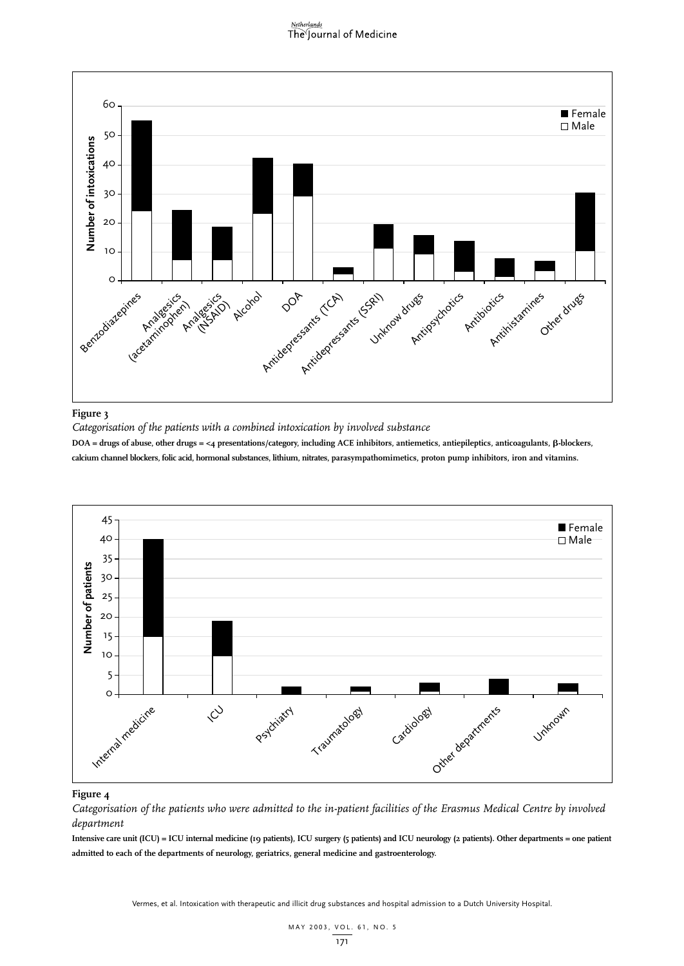## Netherlands<br>The Journal of Medicine



#### **Figure 3**

*Categorisation of the patients with a combined intoxication by involved substance*

DOA = drugs of abuse, other drugs = <4 presentations/category, including ACE inhibitors, antiemetics, antiepileptics, anticoagulants, β-blockers, **calcium channel blockers, folic acid, hormonal substances, lithium, nitrates, parasympathomimetics, proton pump inhibitors, iron and vitamins.**



#### **Figure 4**

*Categorisation of the patients who were admitted to the in-patient facilities of the Erasmus Medical Centre by involved department*

**Intensive care unit (ICU) = ICU internal medicine (19 patients), ICU surgery (5 patients) and ICU neurology (2 patients). Other departments = one patient admitted to each of the departments of neurology, geriatrics, general medicine and gastroenterology.**

Vermes, et al. Intoxication with therapeutic and illicit drug substances and hospital admission to a Dutch University Hospital.